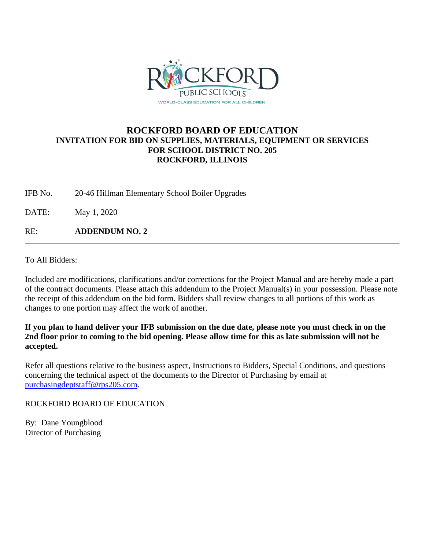

# **ROCKFORD BOARD OF EDUCATION INVITATION FOR BID ON SUPPLIES, MATERIALS, EQUIPMENT OR SERVICES FOR SCHOOL DISTRICT NO. 205 ROCKFORD, ILLINOIS**

IFB No. 20-46 Hillman Elementary School Boiler Upgrades

DATE: May 1, 2020

RE: **ADDENDUM NO. 2**

To All Bidders:

Included are modifications, clarifications and/or corrections for the Project Manual and are hereby made a part of the contract documents. Please attach this addendum to the Project Manual(s) in your possession. Please note the receipt of this addendum on the bid form. Bidders shall review changes to all portions of this work as changes to one portion may affect the work of another.

**If you plan to hand deliver your IFB submission on the due date, please note you must check in on the 2nd floor prior to coming to the bid opening. Please allow time for this as late submission will not be accepted.**

Refer all questions relative to the business aspect, Instructions to Bidders, Special Conditions, and questions concerning the technical aspect of the documents to the Director of Purchasing by email at [purchasingdeptstaff@rps205.com.](mailto:purchasingdeptstaff@rps205.com)

ROCKFORD BOARD OF EDUCATION

By: Dane Youngblood Director of Purchasing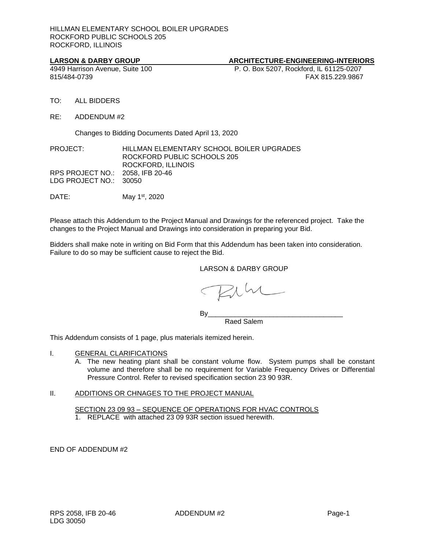# **LARSON & DARBY GROUP**<br>
4949 Harrison Avenue, Suite 100 **ARCHITECTURE-ENGINEERING-INTERIORS**<br>
P. O. Box 5207, Rockford, IL 61125-0207

P. O. Box 5207, Rockford, IL 61125-0207 815/484-0739 FAX 815.229.9867

- TO: ALL BIDDERS
- RE: ADDENDUM #2

Changes to Bidding Documents Dated April 13, 2020

# PROJECT: HILLMAN ELEMENTARY SCHOOL BOILER UPGRADES ROCKFORD PUBLIC SCHOOLS 205 ROCKFORD, ILLINOIS RPS PROJECT NO.: 2058, IFB 20-46 LDG PROJECT NO.: 30050

DATE: May 1<sup>st</sup>, 2020

Please attach this Addendum to the Project Manual and Drawings for the referenced project. Take the changes to the Project Manual and Drawings into consideration in preparing your Bid.

Bidders shall make note in writing on Bid Form that this Addendum has been taken into consideration. Failure to do so may be sufficient cause to reject the Bid.

# LARSON & DARBY GROUP

By\_\_\_\_\_\_\_\_\_\_\_\_\_\_\_\_\_\_\_\_\_\_\_\_\_\_\_\_\_\_\_\_\_\_\_

Raed Salem

This Addendum consists of 1 page, plus materials itemized herein.

- I. GENERAL CLARIFICATIONS
	- A. The new heating plant shall be constant volume flow. System pumps shall be constant volume and therefore shall be no requirement for Variable Frequency Drives or Differential Pressure Control. Refer to revised specification section 23 90 93R.

# II. ADDITIONS OR CHNAGES TO THE PROJECT MANUAL

SECTION 23 09 93 – SEQUENCE OF OPERATIONS FOR HVAC CONTROLS

1. REPLACE with attached 23 09 93R section issued herewith.

END OF ADDENDUM #2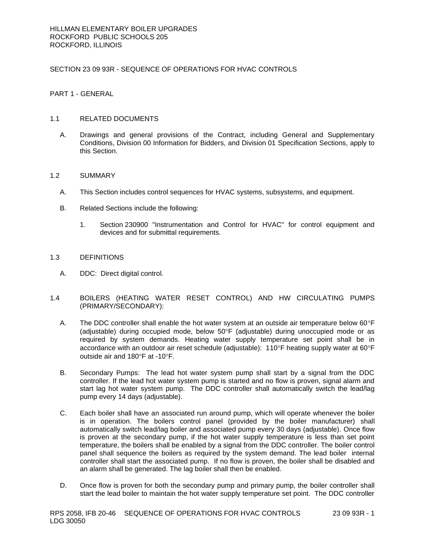# SECTION 23 09 93R - SEQUENCE OF OPERATIONS FOR HVAC CONTROLS

# PART 1 - GENERAL

# 1.1 RELATED DOCUMENTS

A. Drawings and general provisions of the Contract, including General and Supplementary Conditions, Division 00 Information for Bidders, and Division 01 Specification Sections, apply to this Section.

# 1.2 SUMMARY

- A. This Section includes control sequences for HVAC systems, subsystems, and equipment.
- B. Related Sections include the following:
	- 1. Section 230900 "Instrumentation and Control for HVAC" for control equipment and devices and for submittal requirements.

# 1.3 DEFINITIONS

- A. DDC: Direct digital control.
- 1.4 BOILERS (HEATING WATER RESET CONTROL) AND HW CIRCULATING PUMPS (PRIMARY/SECONDARY):
	- A. The DDC controller shall enable the hot water system at an outside air temperature below  $60^{\circ}$ F (adjustable) during occupied mode, below  $50^{\circ}$ F (adjustable) during unoccupied mode or as required by system demands. Heating water supply temperature set point shall be in accordance with an outdoor air reset schedule (adjustable):  $110^{\circ}$ F heating supply water at 60 $^{\circ}$ F outside air and  $180^\circ$ F at -10 $^\circ$ F.
	- B. Secondary Pumps: The lead hot water system pump shall start by a signal from the DDC controller. If the lead hot water system pump is started and no flow is proven, signal alarm and start lag hot water system pump. The DDC controller shall automatically switch the lead/lag pump every 14 days (adjustable).
	- C. Each boiler shall have an associated run around pump, which will operate whenever the boiler is in operation. The boilers control panel (provided by the boiler manufacturer) shall automatically switch lead/lag boiler and associated pump every 30 days (adjustable). Once flow is proven at the secondary pump, if the hot water supply temperature is less than set point temperature, the boilers shall be enabled by a signal from the DDC controller. The boiler control panel shall sequence the boilers as required by the system demand. The lead boiler internal controller shall start the associated pump. If no flow is proven, the boiler shall be disabled and an alarm shall be generated. The lag boiler shall then be enabled.
	- D. Once flow is proven for both the secondary pump and primary pump, the boiler controller shall start the lead boiler to maintain the hot water supply temperature set point. The DDC controller